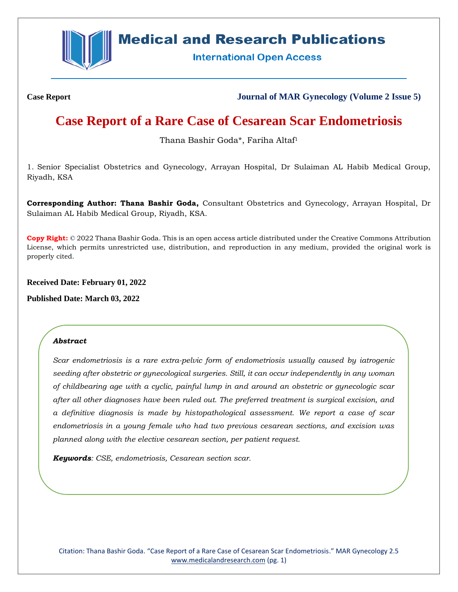

# **Medical and Research Publications**

**International Open Access** 

**Case Report Journal of MAR Gynecology (Volume 2 Issue 5)**

# **Case Report of a Rare Case of Cesarean Scar Endometriosis**

Thana Bashir Goda\*, Fariha Altaf<sup>1</sup>

1. Senior Specialist Obstetrics and Gynecology, Arrayan Hospital, Dr Sulaiman AL Habib Medical Group, Riyadh, KSA

**Corresponding Author: Thana Bashir Goda,** Consultant Obstetrics and Gynecology, Arrayan Hospital, Dr Sulaiman AL Habib Medical Group, Riyadh, KSA.

**Copy Right:** © 2022 Thana Bashir Goda. This is an open access article distributed under the Creative Commons Attribution License, which permits unrestricted use, distribution, and reproduction in any medium, provided the original work is properly cited.

**Received Date: February 01, 2022**

**Published Date: March 03, 2022**

# *Abstract*

*Scar endometriosis is a rare extra-pelvic form of endometriosis usually caused by iatrogenic seeding after obstetric or gynecological surgeries. Still, it can occur independently in any woman of childbearing age with a cyclic, painful lump in and around an obstetric or gynecologic scar after all other diagnoses have been ruled out. The preferred treatment is surgical excision, and a definitive diagnosis is made by histopathological assessment. We report a case of scar endometriosis in a young female who had two previous cesarean sections, and excision was planned along with the elective cesarean section, per patient request.*

*Keywords: CSE, endometriosis, Cesarean section scar.*

Citation: Thana Bashir Goda. "Case Report of a Rare Case of Cesarean Scar Endometriosis." MAR Gynecology 2.5 [www.medicalandresearch.com](http://www.medicalandresearch.com/) (pg. 1)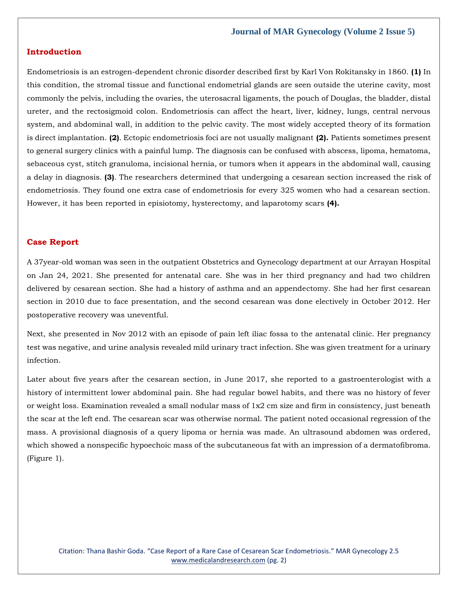# **Introduction**

Endometriosis is an estrogen-dependent chronic disorder described first by Karl Von Rokitansky in 1860. **(1)** In this condition, the stromal tissue and functional endometrial glands are seen outside the uterine cavity, most commonly the pelvis, including the ovaries, the uterosacral ligaments, the pouch of Douglas, the bladder, distal ureter, and the rectosigmoid colon. Endometriosis can affect the heart, liver, kidney, lungs, central nervous system, and abdominal wall, in addition to the pelvic cavity. The most widely accepted theory of its formation is direct implantation. **(2)**. Ectopic endometriosis foci are not usually malignant **(2).** Patients sometimes present to general surgery clinics with a painful lump. The diagnosis can be confused with abscess, lipoma, hematoma, sebaceous cyst, stitch granuloma, incisional hernia, or tumors when it appears in the abdominal wall, causing a delay in diagnosis. **(3)**. The researchers determined that undergoing a cesarean section increased the risk of endometriosis. They found one extra case of endometriosis for every 325 women who had a cesarean section. However, it has been reported in episiotomy, hysterectomy, and laparotomy scars **(4).**

## **Case Report**

A 37year-old woman was seen in the outpatient Obstetrics and Gynecology department at our Arrayan Hospital on Jan 24, 2021. She presented for antenatal care. She was in her third pregnancy and had two children delivered by cesarean section. She had a history of asthma and an appendectomy. She had her first cesarean section in 2010 due to face presentation, and the second cesarean was done electively in October 2012. Her postoperative recovery was uneventful.

Next, she presented in Nov 2012 with an episode of pain left iliac fossa to the antenatal clinic. Her pregnancy test was negative, and urine analysis revealed mild urinary tract infection. She was given treatment for a urinary infection.

Later about five years after the cesarean section, in June 2017, she reported to a gastroenterologist with a history of intermittent lower abdominal pain. She had regular bowel habits, and there was no history of fever or weight loss. Examination revealed a small nodular mass of 1x2 cm size and firm in consistency, just beneath the scar at the left end. The cesarean scar was otherwise normal. The patient noted occasional regression of the mass. A provisional diagnosis of a query lipoma or hernia was made. An ultrasound abdomen was ordered, which showed a nonspecific hypoechoic mass of the subcutaneous fat with an impression of a dermatofibroma. (Figure 1).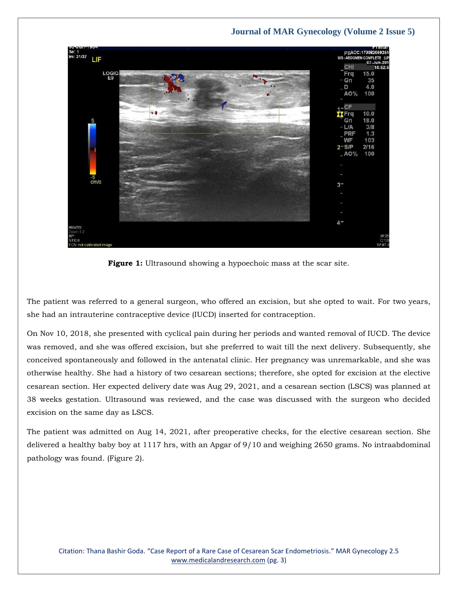

**Figure 1:** Ultrasound showing a hypoechoic mass at the scar site.

The patient was referred to a general surgeon, who offered an excision, but she opted to wait. For two years, she had an intrauterine contraceptive device (IUCD) inserted for contraception.

On Nov 10, 2018, she presented with cyclical pain during her periods and wanted removal of IUCD. The device was removed, and she was offered excision, but she preferred to wait till the next delivery. Subsequently, she conceived spontaneously and followed in the antenatal clinic. Her pregnancy was unremarkable, and she was otherwise healthy. She had a history of two cesarean sections; therefore, she opted for excision at the elective cesarean section. Her expected delivery date was Aug 29, 2021, and a cesarean section (LSCS) was planned at 38 weeks gestation. Ultrasound was reviewed, and the case was discussed with the surgeon who decided excision on the same day as LSCS.

The patient was admitted on Aug 14, 2021, after preoperative checks, for the elective cesarean section. She delivered a healthy baby boy at 1117 hrs, with an Apgar of 9/10 and weighing 2650 grams. No intraabdominal pathology was found. (Figure 2).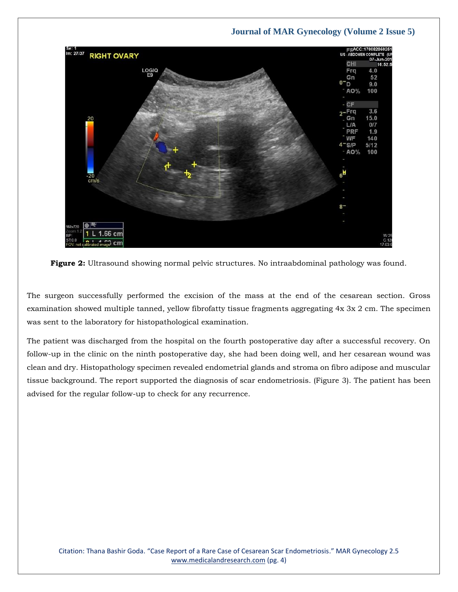

**Figure 2:** Ultrasound showing normal pelvic structures. No intraabdominal pathology was found.

The surgeon successfully performed the excision of the mass at the end of the cesarean section. Gross examination showed multiple tanned, yellow fibrofatty tissue fragments aggregating 4x 3x 2 cm. The specimen was sent to the laboratory for histopathological examination.

The patient was discharged from the hospital on the fourth postoperative day after a successful recovery. On follow-up in the clinic on the ninth postoperative day, she had been doing well, and her cesarean wound was clean and dry. Histopathology specimen revealed endometrial glands and stroma on fibro adipose and muscular tissue background. The report supported the diagnosis of scar endometriosis. (Figure 3). The patient has been advised for the regular follow-up to check for any recurrence.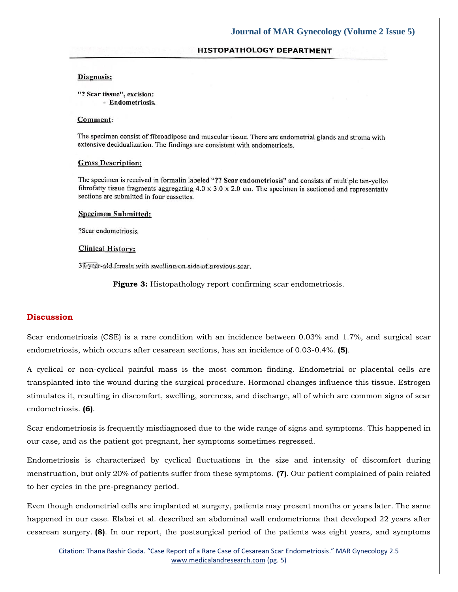# **HISTOPATHOLOGY DEPARTMENT**

#### Diagnosis:

"? Scar tissue", excision:

- Endometriosis.

## Comment:

The specimen consist of fibroadipose and muscular tissue. There are endometrial glands and stroma with extensive decidualization. The findings are consistent with endometriosis.

#### **Gross Description:**

The specimen is received in formalin labeled "?? Scar endometriosis" and consists of multiple tan-yellov fibrofatty tissue fragments aggregating  $4.0 \times 3.0 \times 2.0$  cm. The specimen is sectioned and representativ sections are submitted in four cassettes.

## **Specimen Submitted:**

?Scar endometriosis.

#### **Clinical History:**

37 year-old female with swelling on side of previous scar.

**Figure 3:** Histopathology report confirming scar endometriosis.

### **Discussion**

Scar endometriosis (CSE) is a rare condition with an incidence between 0.03% and 1.7%, and surgical scar endometriosis, which occurs after cesarean sections, has an incidence of 0.03-0.4%. **(5)**.

A cyclical or non-cyclical painful mass is the most common finding. Endometrial or placental cells are transplanted into the wound during the surgical procedure. Hormonal changes influence this tissue. Estrogen stimulates it, resulting in discomfort, swelling, soreness, and discharge, all of which are common signs of scar endometriosis. **(6)**.

Scar endometriosis is frequently misdiagnosed due to the wide range of signs and symptoms. This happened in our case, and as the patient got pregnant, her symptoms sometimes regressed.

Endometriosis is characterized by cyclical fluctuations in the size and intensity of discomfort during menstruation, but only 20% of patients suffer from these symptoms. **(7)**. Our patient complained of pain related to her cycles in the pre-pregnancy period.

Even though endometrial cells are implanted at surgery, patients may present months or years later. The same happened in our case. Elabsi et al. described an abdominal wall endometrioma that developed 22 years after cesarean surgery. **(8)**. In our report, the postsurgical period of the patients was eight years, and symptoms

Citation: Thana Bashir Goda. "Case Report of a Rare Case of Cesarean Scar Endometriosis." MAR Gynecology 2.5 [www.medicalandresearch.com](http://www.medicalandresearch.com/) (pg. 5)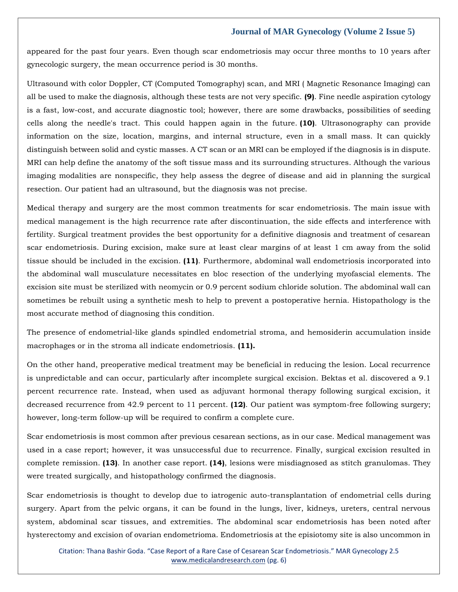appeared for the past four years. Even though scar endometriosis may occur three months to 10 years after gynecologic surgery, the mean occurrence period is 30 months.

Ultrasound with color Doppler, CT (Computed Tomography) scan, and MRI ( Magnetic Resonance Imaging) can all be used to make the diagnosis, although these tests are not very specific. **(9)**. Fine needle aspiration cytology is a fast, low-cost, and accurate diagnostic tool; however, there are some drawbacks, possibilities of seeding cells along the needle's tract. This could happen again in the future. **(10)**. Ultrasonography can provide information on the size, location, margins, and internal structure, even in a small mass. It can quickly distinguish between solid and cystic masses. A CT scan or an MRI can be employed if the diagnosis is in dispute. MRI can help define the anatomy of the soft tissue mass and its surrounding structures. Although the various imaging modalities are nonspecific, they help assess the degree of disease and aid in planning the surgical resection. Our patient had an ultrasound, but the diagnosis was not precise.

Medical therapy and surgery are the most common treatments for scar endometriosis. The main issue with medical management is the high recurrence rate after discontinuation, the side effects and interference with fertility. Surgical treatment provides the best opportunity for a definitive diagnosis and treatment of cesarean scar endometriosis. During excision, make sure at least clear margins of at least 1 cm away from the solid tissue should be included in the excision. **(11)**. Furthermore, abdominal wall endometriosis incorporated into the abdominal wall musculature necessitates en bloc resection of the underlying myofascial elements. The excision site must be sterilized with neomycin or 0.9 percent sodium chloride solution. The abdominal wall can sometimes be rebuilt using a synthetic mesh to help to prevent a postoperative hernia. Histopathology is the most accurate method of diagnosing this condition.

The presence of endometrial-like glands spindled endometrial stroma, and hemosiderin accumulation inside macrophages or in the stroma all indicate endometriosis. **(11).**

On the other hand, preoperative medical treatment may be beneficial in reducing the lesion. Local recurrence is unpredictable and can occur, particularly after incomplete surgical excision. Bektas et al. discovered a 9.1 percent recurrence rate. Instead, when used as adjuvant hormonal therapy following surgical excision, it decreased recurrence from 42.9 percent to 11 percent. **(12)**. Our patient was symptom-free following surgery; however, long-term follow-up will be required to confirm a complete cure.

Scar endometriosis is most common after previous cesarean sections, as in our case. Medical management was used in a case report; however, it was unsuccessful due to recurrence. Finally, surgical excision resulted in complete remission. **(13)**. In another case report. **(14)**, lesions were misdiagnosed as stitch granulomas. They were treated surgically, and histopathology confirmed the diagnosis.

Scar endometriosis is thought to develop due to iatrogenic auto-transplantation of endometrial cells during surgery. Apart from the pelvic organs, it can be found in the lungs, liver, kidneys, ureters, central nervous system, abdominal scar tissues, and extremities. The abdominal scar endometriosis has been noted after hysterectomy and excision of ovarian endometrioma. Endometriosis at the episiotomy site is also uncommon in

Citation: Thana Bashir Goda. "Case Report of a Rare Case of Cesarean Scar Endometriosis." MAR Gynecology 2.5 [www.medicalandresearch.com](http://www.medicalandresearch.com/) (pg. 6)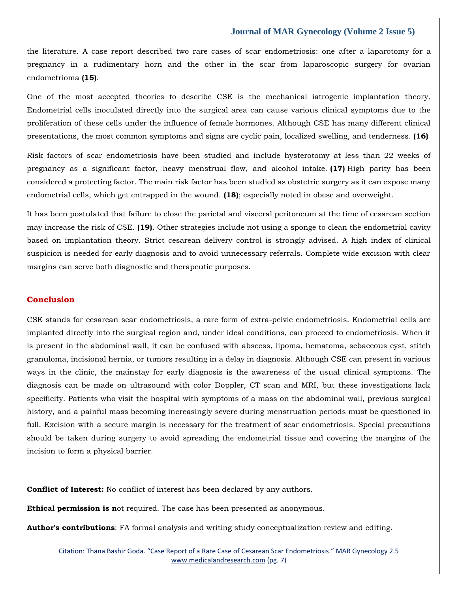the literature. A case report described two rare cases of scar endometriosis: one after a laparotomy for a pregnancy in a rudimentary horn and the other in the scar from laparoscopic surgery for ovarian endometrioma **(15)**.

One of the most accepted theories to describe CSE is the mechanical iatrogenic implantation theory. Endometrial cells inoculated directly into the surgical area can cause various clinical symptoms due to the proliferation of these cells under the influence of female hormones. Although CSE has many different clinical presentations, the most common symptoms and signs are cyclic pain, localized swelling, and tenderness. **(16)**

Risk factors of scar endometriosis have been studied and include hysterotomy at less than 22 weeks of pregnancy as a significant factor, heavy menstrual flow, and alcohol intake. **(17)** High parity has been considered a protecting factor. The main risk factor has been studied as obstetric surgery as it can expose many endometrial cells, which get entrapped in the wound. **(18)**; especially noted in obese and overweight.

It has been postulated that failure to close the parietal and visceral peritoneum at the time of cesarean section may increase the risk of CSE. **(19)**. Other strategies include not using a sponge to clean the endometrial cavity based on implantation theory. Strict cesarean delivery control is strongly advised. A high index of clinical suspicion is needed for early diagnosis and to avoid unnecessary referrals. Complete wide excision with clear margins can serve both diagnostic and therapeutic purposes.

# **Conclusion**

CSE stands for cesarean scar endometriosis, a rare form of extra-pelvic endometriosis. Endometrial cells are implanted directly into the surgical region and, under ideal conditions, can proceed to endometriosis. When it is present in the abdominal wall, it can be confused with abscess, lipoma, hematoma, sebaceous cyst, stitch granuloma, incisional hernia, or tumors resulting in a delay in diagnosis. Although CSE can present in various ways in the clinic, the mainstay for early diagnosis is the awareness of the usual clinical symptoms. The diagnosis can be made on ultrasound with color Doppler, CT scan and MRI, but these investigations lack specificity. Patients who visit the hospital with symptoms of a mass on the abdominal wall, previous surgical history, and a painful mass becoming increasingly severe during menstruation periods must be questioned in full. Excision with a secure margin is necessary for the treatment of scar endometriosis. Special precautions should be taken during surgery to avoid spreading the endometrial tissue and covering the margins of the incision to form a physical barrier.

**Conflict of Interest:** No conflict of interest has been declared by any authors.

**Ethical permission is n**ot required. The case has been presented as anonymous.

**Author's contributions**: FA formal analysis and writing study conceptualization review and editing.

Citation: Thana Bashir Goda. "Case Report of a Rare Case of Cesarean Scar Endometriosis." MAR Gynecology 2.5 [www.medicalandresearch.com](http://www.medicalandresearch.com/) (pg. 7)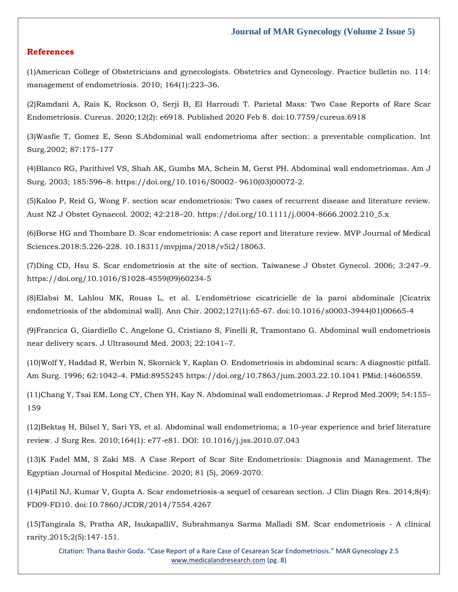## **References**

(1[\)American College of Obstetricians and gynecologists. Obstetrics and Gynecology. Practice bulletin no. 114:](https://www.google.com/search?q=American+College+of+Obstetricians+and+gynecologists+Obstetrics+and+Gynecology.+Practice+bulletin+no.+114%3A+management+of+endometriosis.+2010%3B+164%281%29%3A223%E2%80%9336&sxsrf=APq-WBvIwPNH6rDxlNv2i8TCOxspF0wfeg%3A1643865748358&ei=lGb7YdD0FMGfseMPkaip0AI&ved=0ahUKEwjQjvSP5eL1AhXBT2wGHRFUCioQ4dUDCA4&uact=5&oq=American+College+of+Obstetricians+and+gynecologists+Obstetrics+and+Gynecology.+Practice+bulletin+no.+114%3A+management+of+endometriosis.+2010%3B+164%281%29%3A223%E2%80%9336&gs_lcp=Cgdnd3Mtd2l6EAMyBQgAEIAEMgUIABCABDIKCAAQgAQQhwIQFDIKCAAQgAQQhwIQFDIFCAAQgAQyBQgAEIAEMgUIABCABDIFCAAQgAQyBQgAEIAEMgUIABCABDoHCAAQRxCwAzoKCAAQRxCwAxDJAzoICAAQkgMQsAM6BwgAELADEEM6EgguEMcBENEDEMgDELADEEMYADoMCC4QyAMQsAMQQxgASgQIQRgASgQIRhgBUJwCWOcJYOEUaAFwAngAgAG9AYgBvQGSAQMwLjGYAQCgAQGgAQLIARTAAQHaAQYIABABGAg&sclient=gws-wiz)  [management of endometriosis. 2010; 164\(1\):223](https://www.google.com/search?q=American+College+of+Obstetricians+and+gynecologists+Obstetrics+and+Gynecology.+Practice+bulletin+no.+114%3A+management+of+endometriosis.+2010%3B+164%281%29%3A223%E2%80%9336&sxsrf=APq-WBvIwPNH6rDxlNv2i8TCOxspF0wfeg%3A1643865748358&ei=lGb7YdD0FMGfseMPkaip0AI&ved=0ahUKEwjQjvSP5eL1AhXBT2wGHRFUCioQ4dUDCA4&uact=5&oq=American+College+of+Obstetricians+and+gynecologists+Obstetrics+and+Gynecology.+Practice+bulletin+no.+114%3A+management+of+endometriosis.+2010%3B+164%281%29%3A223%E2%80%9336&gs_lcp=Cgdnd3Mtd2l6EAMyBQgAEIAEMgUIABCABDIKCAAQgAQQhwIQFDIKCAAQgAQQhwIQFDIFCAAQgAQyBQgAEIAEMgUIABCABDIFCAAQgAQyBQgAEIAEMgUIABCABDoHCAAQRxCwAzoKCAAQRxCwAxDJAzoICAAQkgMQsAM6BwgAELADEEM6EgguEMcBENEDEMgDELADEEMYADoMCC4QyAMQsAMQQxgASgQIQRgASgQIRhgBUJwCWOcJYOEUaAFwAngAgAG9AYgBvQGSAQMwLjGYAQCgAQGgAQLIARTAAQHaAQYIABABGAg&sclient=gws-wiz)–36.

(2[\)Ramdani A, Rais K, Rockson O, Serji B, El Harroudi T. Parietal Mass: Two Case Reports of Rare Scar](https://www.google.com/search?q=Parietal+Mass%3A+Two+Case+Reports+of+Rare+Scar+Endometriosis&sxsrf=APq-WBuw69ArjGRLKPxeqgxQHRNhMUCieA%3A1643865777989&ei=sWb7YczaO-GfseMPy8Cu-AE&ved=0ahUKEwiM94Se5eL1AhXhT2wGHUugCx8Q4dUDCA4&uact=5&oq=Parietal+Mass%3A+Two+Case+Reports+of+Rare+Scar+Endometriosis&gs_lcp=Cgdnd3Mtd2l6EAM6BwgjEOoCECdKBAhBGABKBAhGGABQhQVYhQVg0ghoAXACeACAAdACiAHQApIBAzMtMZgBAKABAaABArABCsABAQ&sclient=gws-wiz)  [Endometriosis. Cureus. 2020;12\(2\): e6918. Published 2020 Feb 8. doi:10.7759/cureus.6918](https://www.google.com/search?q=Parietal+Mass%3A+Two+Case+Reports+of+Rare+Scar+Endometriosis&sxsrf=APq-WBuw69ArjGRLKPxeqgxQHRNhMUCieA%3A1643865777989&ei=sWb7YczaO-GfseMPy8Cu-AE&ved=0ahUKEwiM94Se5eL1AhXhT2wGHUugCx8Q4dUDCA4&uact=5&oq=Parietal+Mass%3A+Two+Case+Reports+of+Rare+Scar+Endometriosis&gs_lcp=Cgdnd3Mtd2l6EAM6BwgjEOoCECdKBAhBGABKBAhGGABQhQVYhQVg0ghoAXACeACAAdACiAHQApIBAzMtMZgBAKABAaABArABCsABAQ&sclient=gws-wiz)

(3[\)Wasfie T, Gomez E, Seon S.Abdominal wall endometrioma after section: a preventable complication. Int](https://www.google.com/search?q=Abdominal+wall+endometrioma+after+section%3A+a+preventable+complication&sxsrf=APq-WBsAlL4QZn0207eg2Wt8fy-HI_eBLg%3A1643865800210&ei=yGb7YZSXDOqXseMP7NymoAY&ved=0ahUKEwiUm9Go5eL1AhXqS2wGHWyuCWQQ4dUDCA4&uact=5&oq=Abdominal+wall+endometrioma+after+section%3A+a+preventable+complication&gs_lcp=Cgdnd3Mtd2l6EAM6BwgjEOoCECdKBAhBGABKBAhGGABQhgdYhgdgvwtoAXACeACAAd4BiAHeAZIBAzItMZgBAKABAaABArABCsABAQ&sclient=gws-wiz)  [Surg.2002; 87:175](https://www.google.com/search?q=Abdominal+wall+endometrioma+after+section%3A+a+preventable+complication&sxsrf=APq-WBsAlL4QZn0207eg2Wt8fy-HI_eBLg%3A1643865800210&ei=yGb7YZSXDOqXseMP7NymoAY&ved=0ahUKEwiUm9Go5eL1AhXqS2wGHWyuCWQQ4dUDCA4&uact=5&oq=Abdominal+wall+endometrioma+after+section%3A+a+preventable+complication&gs_lcp=Cgdnd3Mtd2l6EAM6BwgjEOoCECdKBAhBGABKBAhGGABQhgdYhgdgvwtoAXACeACAAd4BiAHeAZIBAzItMZgBAKABAaABArABCsABAQ&sclient=gws-wiz)–177

(4)Blanco RG, Parithivel VS, Shah AK, Gumbs MA, Schein M, Gerst PH. Abdominal wall endometriomas. Am J Surg. 2003; 185:596–8. https://doi.org/10.1016/S0002- 9610(03)00072-2.

(5)Kaloo P, Reid G, Wong F. section scar endometriosis: Two cases of recurrent disease and literature review. Aust NZ J Obstet Gynaecol. 2002; 42:218–20. https://doi.org/10.1111/j.0004-8666.2002.210\_5.x

(6[\)Borse HG and Thombare D. Scar endometriosis: A case report and literature review. MVP Journal of Medical](https://www.google.com/search?q=Scar+endometriosis%3A+A+case+report+and+literature+review&sxsrf=APq-WBu0tZeQJM865rFmZZygJo_4tqPnSg%3A1643865822262&ei=3mb7YdmbD-aUseMPkti5sA4&ved=0ahUKEwjZgpOz5eL1AhVmSmwGHRJsDuYQ4dUDCA4&uact=5&oq=Scar+endometriosis%3A+A+case+report+and+literature+review&gs_lcp=Cgdnd3Mtd2l6EAMyBggAEBYQHjoHCCMQ6gIQJ0oECEEYAEoECEYYAFCcB1icB2DjEWgBcAB4AIAB4gGIAeIBkgEDMi0xmAEAoAEBoAECsAEKwAEB&sclient=gws-wiz)  [Sciences.2018:5.226-228. 10.18311/mvpjms/2018/v5i2/18063.](https://www.google.com/search?q=Scar+endometriosis%3A+A+case+report+and+literature+review&sxsrf=APq-WBu0tZeQJM865rFmZZygJo_4tqPnSg%3A1643865822262&ei=3mb7YdmbD-aUseMPkti5sA4&ved=0ahUKEwjZgpOz5eL1AhVmSmwGHRJsDuYQ4dUDCA4&uact=5&oq=Scar+endometriosis%3A+A+case+report+and+literature+review&gs_lcp=Cgdnd3Mtd2l6EAMyBggAEBYQHjoHCCMQ6gIQJ0oECEEYAEoECEYYAFCcB1icB2DjEWgBcAB4AIAB4gGIAeIBkgEDMi0xmAEAoAEBoAECsAEKwAEB&sclient=gws-wiz)

(7)Ding CD, Hsu S. Scar endometriosis at the site of section. Taiwanese J Obstet Gynecol. 2006; 3:247–9. https://doi.org/10.1016/S1028-4559(09)60234-5

(8[\)Elabsi M, Lahlou MK, Rouas L, et al. L'endométriose cicatricielle de la paroi abdominale \[Cicatrix](https://www.google.com/search?q=L%27endom%C3%A9triose+cicatricielle+de+la+paroi+abdominale+%5BCicatrix+endometriosis+of+the+abdominal+wall%5D.+Ann+Chir&sxsrf=APq-WBuhMC5_ao6qaExyyCkkQ1DjvNTvzA%3A1643865898166&ei=Kmf7Yee2Cf6VseMP54KpuAc&ved=0ahUKEwjn86vX5eL1AhX-SmwGHWdBCncQ4dUDCA4&uact=5&oq=L%27endom%C3%A9triose+cicatricielle+de+la+paroi+abdominale+%5BCicatrix+endometriosis+of+the+abdominal+wall%5D.+Ann+Chir&gs_lcp=Cgdnd3Mtd2l6EAMyBwgjEOoCECcyBwgjEOoCECcyBwgjEOoCECcyBwgjEOoCECcyBwgjEOoCECcyBwgjEOoCECcyBwgjEOoCECcyBwgjEOoCECcyBwgjEOoCECcyBwgjEOoCECdKBAhBGABKBAhGGABQvQZYvQZgqAloAXACeACAAQCIAQCSAQCYAQCgAQGgAQKwAQrAAQE&sclient=gws-wiz)  [endometriosis of the abdominal wall\]. Ann Chir. 2002;127\(1\):65-67. doi:10.1016/s0003-3944\(01\)00665-4](https://www.google.com/search?q=L%27endom%C3%A9triose+cicatricielle+de+la+paroi+abdominale+%5BCicatrix+endometriosis+of+the+abdominal+wall%5D.+Ann+Chir&sxsrf=APq-WBuhMC5_ao6qaExyyCkkQ1DjvNTvzA%3A1643865898166&ei=Kmf7Yee2Cf6VseMP54KpuAc&ved=0ahUKEwjn86vX5eL1AhX-SmwGHWdBCncQ4dUDCA4&uact=5&oq=L%27endom%C3%A9triose+cicatricielle+de+la+paroi+abdominale+%5BCicatrix+endometriosis+of+the+abdominal+wall%5D.+Ann+Chir&gs_lcp=Cgdnd3Mtd2l6EAMyBwgjEOoCECcyBwgjEOoCECcyBwgjEOoCECcyBwgjEOoCECcyBwgjEOoCECcyBwgjEOoCECcyBwgjEOoCECcyBwgjEOoCECcyBwgjEOoCECcyBwgjEOoCECdKBAhBGABKBAhGGABQvQZYvQZgqAloAXACeACAAQCIAQCSAQCYAQCgAQGgAQKwAQrAAQE&sclient=gws-wiz)

(9[\)Francica G, Giardiello C, Angelone G, Cristiano S, Finelli R, Tramontano G. Abdominal wall endometriosis](https://www.google.com/search?q=Abdominal+wall+endometriosis+near+delivery+scars&sxsrf=APq-WBsm-xs76n86FmAX1P3UdTT93bclRA%3A1643866021845&ei=pWf7YbuRM8fXz7sPgu6xyA0&ved=0ahUKEwj796iS5uL1AhXH63MBHQJ3DNkQ4dUDCA4&uact=5&oq=Abdominal+wall+endometriosis+near+delivery+scars&gs_lcp=Cgdnd3Mtd2l6EAMyBwgjEOoCECcyBwgjEOoCECcyBwgjEOoCECcyBwgjEOoCECcyBwgjEOoCECcyBwgjEOoCECcyBwgjEOoCECcyBwgjEOoCECcyBwgjEOoCECcyBwgjEOoCECdKBAhBGABKBAhGGABQowVYowVg0AdoAXACeACAAQCIAQCSAQCYAQCgAQGgAQKwAQrAAQE&sclient=gws-wiz)  [near delivery scars. J Ultrasound Med. 2003; 22:1041](https://www.google.com/search?q=Abdominal+wall+endometriosis+near+delivery+scars&sxsrf=APq-WBsm-xs76n86FmAX1P3UdTT93bclRA%3A1643866021845&ei=pWf7YbuRM8fXz7sPgu6xyA0&ved=0ahUKEwj796iS5uL1AhXH63MBHQJ3DNkQ4dUDCA4&uact=5&oq=Abdominal+wall+endometriosis+near+delivery+scars&gs_lcp=Cgdnd3Mtd2l6EAMyBwgjEOoCECcyBwgjEOoCECcyBwgjEOoCECcyBwgjEOoCECcyBwgjEOoCECcyBwgjEOoCECcyBwgjEOoCECcyBwgjEOoCECcyBwgjEOoCECcyBwgjEOoCECdKBAhBGABKBAhGGABQowVYowVg0AdoAXACeACAAQCIAQCSAQCYAQCgAQGgAQKwAQrAAQE&sclient=gws-wiz)–7.

(10)Wolf Y, Haddad R, Werbin N, Skornick Y, Kaplan O. Endometriosis in abdominal scars: A diagnostic pitfall. Am Surg. 1996; 62:1042–4. PMid:8955245 https://doi.org/10.7863/jum.2003.22.10.1041 PMid:14606559.

(11[\)Chang Y, Tsai EM, Long CY, Chen YH, Kay N. Abdominal wall endometriomas. J Reprod Med.2009; 54:155](https://www.google.com/search?q=Abdominal+wall+endometriomas&sxsrf=APq-WBu7oHQQDFXCJfErPEvzL8TOhBcnRg%3A1643866043278&ei=u2f7Yc_AEJbZz7sP6tWZoAg&ved=0ahUKEwiPisWc5uL1AhWW7HMBHepqBoQQ4dUDCA4&uact=5&oq=Abdominal+wall+endometriomas&gs_lcp=Cgdnd3Mtd2l6EAMyBwgjELECECcyBAgAEEMyBAgAEAoyBAgAEEMyBAgAEAoyBAgAEAoyBAgAEAoyBAgAEEMyBAgAEAoyBAgAEAo6BwgjEOoCECdKBAhBGABKBAhGGABQjAVYjAVgvQdoAXACeACAAYQCiAGEApIBAzItMZgBAKABAaABArABCsABAQ&sclient=gws-wiz)– [159](https://www.google.com/search?q=Abdominal+wall+endometriomas&sxsrf=APq-WBu7oHQQDFXCJfErPEvzL8TOhBcnRg%3A1643866043278&ei=u2f7Yc_AEJbZz7sP6tWZoAg&ved=0ahUKEwiPisWc5uL1AhWW7HMBHepqBoQQ4dUDCA4&uact=5&oq=Abdominal+wall+endometriomas&gs_lcp=Cgdnd3Mtd2l6EAMyBwgjELECECcyBAgAEEMyBAgAEAoyBAgAEEMyBAgAEAoyBAgAEAoyBAgAEAoyBAgAEEMyBAgAEAoyBAgAEAo6BwgjEOoCECdKBAhBGABKBAhGGABQjAVYjAVgvQdoAXACeACAAYQCiAGEApIBAzItMZgBAKABAaABArABCsABAQ&sclient=gws-wiz)

(12)[Bektaş H, Bilsel Y, Sari YS, et al. Abdominal wall endometrioma; a 10](https://www.google.com/search?q=Abdominal+wall+endometrioma%3B+a+10-year+experience+and+brief+literature+review&sxsrf=APq-WBtWjvx07iy11dlWmxRYCXoGDggUig%3A1643866060475&ei=zGf7YYu6HLSp3LUPmsuO2A8&ved=0ahUKEwiL0N6k5uL1AhW0FLcAHZqlA_sQ4dUDCA4&uact=5&oq=Abdominal+wall+endometrioma%3B+a+10-year+experience+and+brief+literature+review&gs_lcp=Cgdnd3Mtd2l6EAMyBwgjEOoCECcyBwgjEOoCECcyBwgjEOoCECcyBwgjEOoCECcyBwgjEOoCECcyBwgjEOoCECcyBwgjEOoCECcyBwgjEOoCECcyBwgjEOoCECcyBwgjEOoCECdKBAhBGABKBAhGGABQpQVYpQVgwwdoAXACeACAAQCIAQCSAQCYAQCgAQGgAQKwAQrAAQE&sclient=gws-wiz)-year experience and brief literature [review. J Surg Res. 2010;164\(1\): e77-e81. DOI: 10.1016/j.jss.2010.07.043](https://www.google.com/search?q=Abdominal+wall+endometrioma%3B+a+10-year+experience+and+brief+literature+review&sxsrf=APq-WBtWjvx07iy11dlWmxRYCXoGDggUig%3A1643866060475&ei=zGf7YYu6HLSp3LUPmsuO2A8&ved=0ahUKEwiL0N6k5uL1AhW0FLcAHZqlA_sQ4dUDCA4&uact=5&oq=Abdominal+wall+endometrioma%3B+a+10-year+experience+and+brief+literature+review&gs_lcp=Cgdnd3Mtd2l6EAMyBwgjEOoCECcyBwgjEOoCECcyBwgjEOoCECcyBwgjEOoCECcyBwgjEOoCECcyBwgjEOoCECcyBwgjEOoCECcyBwgjEOoCECcyBwgjEOoCECcyBwgjEOoCECdKBAhBGABKBAhGGABQpQVYpQVgwwdoAXACeACAAQCIAQCSAQCYAQCgAQGgAQKwAQrAAQE&sclient=gws-wiz)

(13[\)K Fadel MM, S Zaki MS. A Case Report of Scar Site Endometriosis: Diagnosis and Management. The](https://www.google.com/search?q=A+Case+Report+of+Scar+Site+Endometriosis%3A+Diagnosis+and+Management&sxsrf=APq-WBu527uXcsxE_5cYeQgKPHpjqmqPcg%3A1643866077490&ei=3Wf7YfaxHcOg4t4Pze6LgAE&ved=0ahUKEwi2lO2s5uL1AhVDkNgFHU33AhAQ4dUDCA4&uact=5&oq=A+Case+Report+of+Scar+Site+Endometriosis%3A+Diagnosis+and+Management&gs_lcp=Cgdnd3Mtd2l6EAM6BwgjEOoCECdKBAhBGABKBAhGGABQswVYswVgighoAXAAeACAAeYBiAHmAZIBAzItMZgBAKABAaABArABCsABAQ&sclient=gws-wiz)  [Egyptian Journal of Hospital Medicine. 2020; 81 \(5\), 2069-2070.](https://www.google.com/search?q=A+Case+Report+of+Scar+Site+Endometriosis%3A+Diagnosis+and+Management&sxsrf=APq-WBu527uXcsxE_5cYeQgKPHpjqmqPcg%3A1643866077490&ei=3Wf7YfaxHcOg4t4Pze6LgAE&ved=0ahUKEwi2lO2s5uL1AhVDkNgFHU33AhAQ4dUDCA4&uact=5&oq=A+Case+Report+of+Scar+Site+Endometriosis%3A+Diagnosis+and+Management&gs_lcp=Cgdnd3Mtd2l6EAM6BwgjEOoCECdKBAhBGABKBAhGGABQswVYswVgighoAXAAeACAAeYBiAHmAZIBAzItMZgBAKABAaABArABCsABAQ&sclient=gws-wiz)

(14[\)Patil NJ, Kumar V, Gupta A. Scar endometriosis-a sequel of cesarean section. J Clin Diagn Res. 2014;8\(4\):](https://www.google.com/search?q=Scar+endometriosis-a+sequel+of+cesarean+section&sxsrf=APq-WBvdM9v3KnuwC-NDxPvKR8yhmZ2FxQ%3A1643866094480&ei=7mf7YeLTHLnhz7sP0ciP4AY&ved=0ahUKEwjigvq05uL1AhW58HMBHVHkA2wQ4dUDCA4&uact=5&oq=Scar+endometriosis-a+sequel+of+cesarean+section&gs_lcp=Cgdnd3Mtd2l6EAMyCAghEBYQHRAeOgcIIxDqAhAnSgQIQRgASgQIRhgAULIGWLIGYJMJaAFwAngAgAGQAogBkAKSAQMyLTGYAQCgAQGgAQKwAQrAAQE&sclient=gws-wiz)  [FD09-FD10. doi:10.7860/JCDR/2014/7554.4267](https://www.google.com/search?q=Scar+endometriosis-a+sequel+of+cesarean+section&sxsrf=APq-WBvdM9v3KnuwC-NDxPvKR8yhmZ2FxQ%3A1643866094480&ei=7mf7YeLTHLnhz7sP0ciP4AY&ved=0ahUKEwjigvq05uL1AhW58HMBHVHkA2wQ4dUDCA4&uact=5&oq=Scar+endometriosis-a+sequel+of+cesarean+section&gs_lcp=Cgdnd3Mtd2l6EAMyCAghEBYQHRAeOgcIIxDqAhAnSgQIQRgASgQIRhgAULIGWLIGYJMJaAFwAngAgAGQAogBkAKSAQMyLTGYAQCgAQGgAQKwAQrAAQE&sclient=gws-wiz)

(15[\)Tangirala S, Pratha AR, IsukapalliV, Subrahmanya Sarma Malladi SM. Scar endometriosis -](https://www.google.com/search?q=Scar+endometriosis+-+A+clinical+rarity&sxsrf=APq-WBt8d99pPKUIkPYjDRtiHBxCG1CIBw%3A1643866113520&ei=AWj7YdyWH7PA3LUPqKGOuAI&ved=0ahUKEwicm4S-5uL1AhUzILcAHaiQAycQ4dUDCA4&uact=5&oq=Scar+endometriosis+-+A+clinical+rarity&gs_lcp=Cgdnd3Mtd2l6EAMyBwgjEOoCECcyBwgjEOoCECcyBwgjEOoCECcyBwgjEOoCECcyBwgjEOoCECcyBwgjEOoCECcyBwgjEOoCECcyBwgjEOoCECcyBwgjEOoCECcyBwgjEOoCECdKBAhBGABKBAhGGABQlQZYlQZg-AdoAXACeACAAQCIAQCSAQCYAQCgAQGgAQKwAQrAAQE&sclient=gws-wiz) A clinical [rarity.2015;2\(5\):147-151.](https://www.google.com/search?q=Scar+endometriosis+-+A+clinical+rarity&sxsrf=APq-WBt8d99pPKUIkPYjDRtiHBxCG1CIBw%3A1643866113520&ei=AWj7YdyWH7PA3LUPqKGOuAI&ved=0ahUKEwicm4S-5uL1AhUzILcAHaiQAycQ4dUDCA4&uact=5&oq=Scar+endometriosis+-+A+clinical+rarity&gs_lcp=Cgdnd3Mtd2l6EAMyBwgjEOoCECcyBwgjEOoCECcyBwgjEOoCECcyBwgjEOoCECcyBwgjEOoCECcyBwgjEOoCECcyBwgjEOoCECcyBwgjEOoCECcyBwgjEOoCECcyBwgjEOoCECdKBAhBGABKBAhGGABQlQZYlQZg-AdoAXACeACAAQCIAQCSAQCYAQCgAQGgAQKwAQrAAQE&sclient=gws-wiz)

Citation: Thana Bashir Goda. "Case Report of a Rare Case of Cesarean Scar Endometriosis." MAR Gynecology 2.5 [www.medicalandresearch.com](http://www.medicalandresearch.com/) (pg. 8)